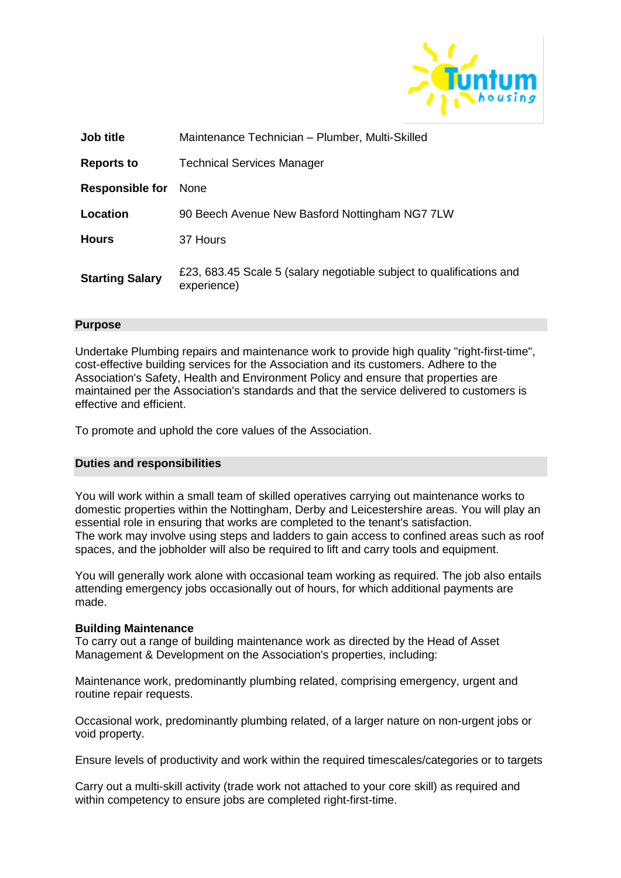

| Job title              | Maintenance Technician - Plumber, Multi-Skilled                                     |
|------------------------|-------------------------------------------------------------------------------------|
| <b>Reports to</b>      | <b>Technical Services Manager</b>                                                   |
| <b>Responsible for</b> | <b>None</b>                                                                         |
| Location               | 90 Beech Avenue New Basford Nottingham NG7 7LW                                      |
| <b>Hours</b>           | 37 Hours                                                                            |
| <b>Starting Salary</b> | £23, 683.45 Scale 5 (salary negotiable subject to qualifications and<br>experience) |

### **Purpose**

Undertake Plumbing repairs and maintenance work to provide high quality "right-first-time", cost-effective building services for the Association and its customers. Adhere to the Association's Safety, Health and Environment Policy and ensure that properties are maintained per the Association's standards and that the service delivered to customers is effective and efficient.

To promote and uphold the core values of the Association.

## **Duties and responsibilities**

You will work within a small team of skilled operatives carrying out maintenance works to domestic properties within the Nottingham, Derby and Leicestershire areas. You will play an essential role in ensuring that works are completed to the tenant's satisfaction. The work may involve using steps and ladders to gain access to confined areas such as roof spaces, and the jobholder will also be required to lift and carry tools and equipment.

You will generally work alone with occasional team working as required. The job also entails attending emergency jobs occasionally out of hours, for which additional payments are made.

#### **Building Maintenance**

To carry out a range of building maintenance work as directed by the Head of Asset Management & Development on the Association's properties, including:

Maintenance work, predominantly plumbing related, comprising emergency, urgent and routine repair requests.

Occasional work, predominantly plumbing related, of a larger nature on non-urgent jobs or void property.

Ensure levels of productivity and work within the required timescales/categories or to targets

Carry out a multi-skill activity (trade work not attached to your core skill) as required and within competency to ensure jobs are completed right-first-time.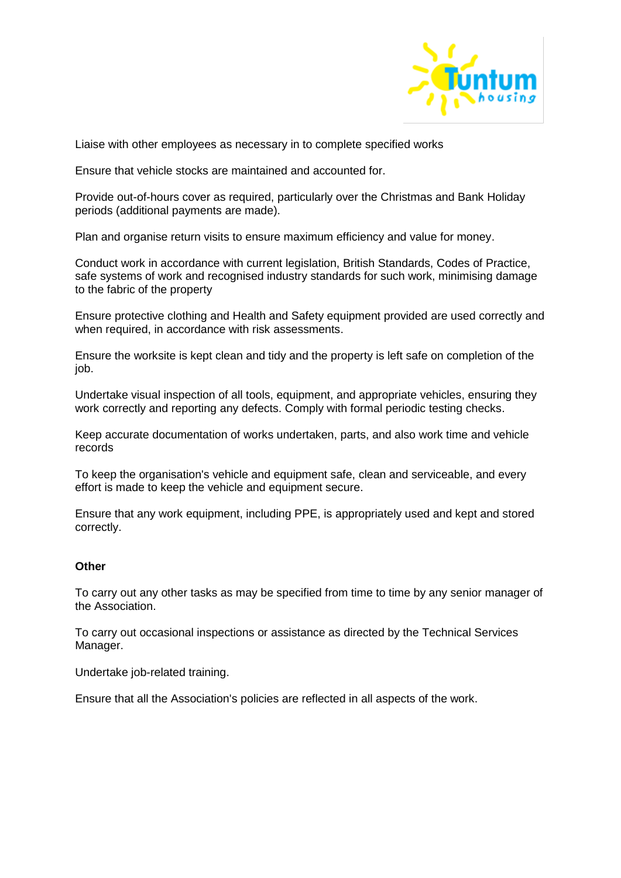

Liaise with other employees as necessary in to complete specified works

Ensure that vehicle stocks are maintained and accounted for.

Provide out-of-hours cover as required, particularly over the Christmas and Bank Holiday periods (additional payments are made).

Plan and organise return visits to ensure maximum efficiency and value for money.

Conduct work in accordance with current legislation, British Standards, Codes of Practice, safe systems of work and recognised industry standards for such work, minimising damage to the fabric of the property

Ensure protective clothing and Health and Safety equipment provided are used correctly and when required, in accordance with risk assessments.

Ensure the worksite is kept clean and tidy and the property is left safe on completion of the job.

Undertake visual inspection of all tools, equipment, and appropriate vehicles, ensuring they work correctly and reporting any defects. Comply with formal periodic testing checks.

Keep accurate documentation of works undertaken, parts, and also work time and vehicle records

To keep the organisation's vehicle and equipment safe, clean and serviceable, and every effort is made to keep the vehicle and equipment secure.

Ensure that any work equipment, including PPE, is appropriately used and kept and stored correctly.

## **Other**

To carry out any other tasks as may be specified from time to time by any senior manager of the Association.

To carry out occasional inspections or assistance as directed by the Technical Services Manager.

Undertake job-related training.

Ensure that all the Association's policies are reflected in all aspects of the work.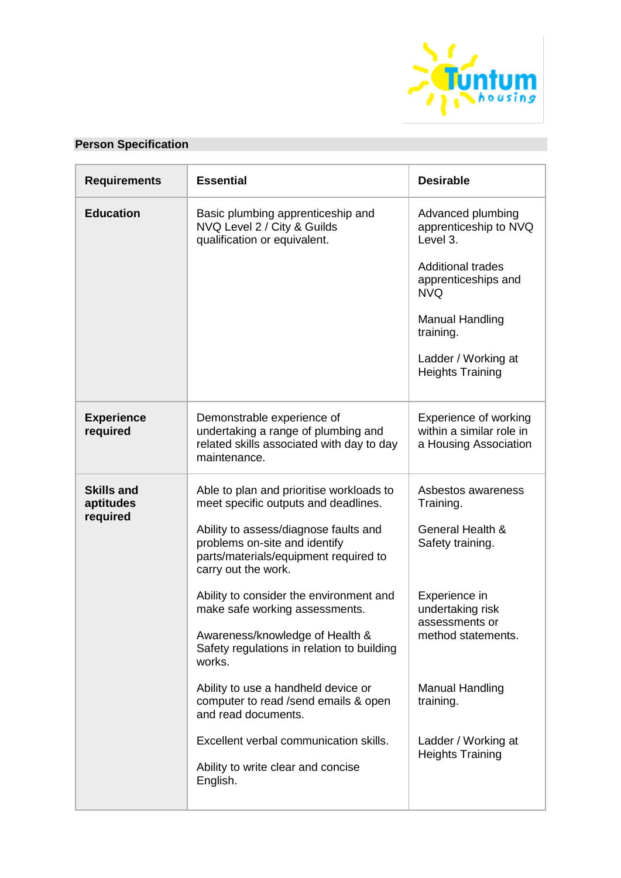

# **Person Specification**

| <b>Requirements</b>                        | <b>Essential</b>                                                                                                                                                                                                           | <b>Desirable</b>                                                                                                                                                                                                 |
|--------------------------------------------|----------------------------------------------------------------------------------------------------------------------------------------------------------------------------------------------------------------------------|------------------------------------------------------------------------------------------------------------------------------------------------------------------------------------------------------------------|
| <b>Education</b>                           | Basic plumbing apprenticeship and<br>NVQ Level 2 / City & Guilds<br>qualification or equivalent.                                                                                                                           | Advanced plumbing<br>apprenticeship to NVQ<br>Level 3.<br><b>Additional trades</b><br>apprenticeships and<br><b>NVQ</b><br><b>Manual Handling</b><br>training.<br>Ladder / Working at<br><b>Heights Training</b> |
| <b>Experience</b><br>required              | Demonstrable experience of<br>undertaking a range of plumbing and<br>related skills associated with day to day<br>maintenance.                                                                                             | Experience of working<br>within a similar role in<br>a Housing Association                                                                                                                                       |
| <b>Skills and</b><br>aptitudes<br>required | Able to plan and prioritise workloads to<br>meet specific outputs and deadlines.<br>Ability to assess/diagnose faults and<br>problems on-site and identify<br>parts/materials/equipment required to<br>carry out the work. | Asbestos awareness<br>Training.<br>General Health &<br>Safety training.                                                                                                                                          |
|                                            | Ability to consider the environment and<br>make safe working assessments.<br>Awareness/knowledge of Health &<br>Safety regulations in relation to building<br>works.                                                       | Experience in<br>undertaking risk<br>assessments or<br>method statements.                                                                                                                                        |
|                                            | Ability to use a handheld device or<br>computer to read /send emails & open<br>and read documents.                                                                                                                         | <b>Manual Handling</b><br>training.                                                                                                                                                                              |
|                                            | Excellent verbal communication skills.<br>Ability to write clear and concise<br>English.                                                                                                                                   | Ladder / Working at<br><b>Heights Training</b>                                                                                                                                                                   |